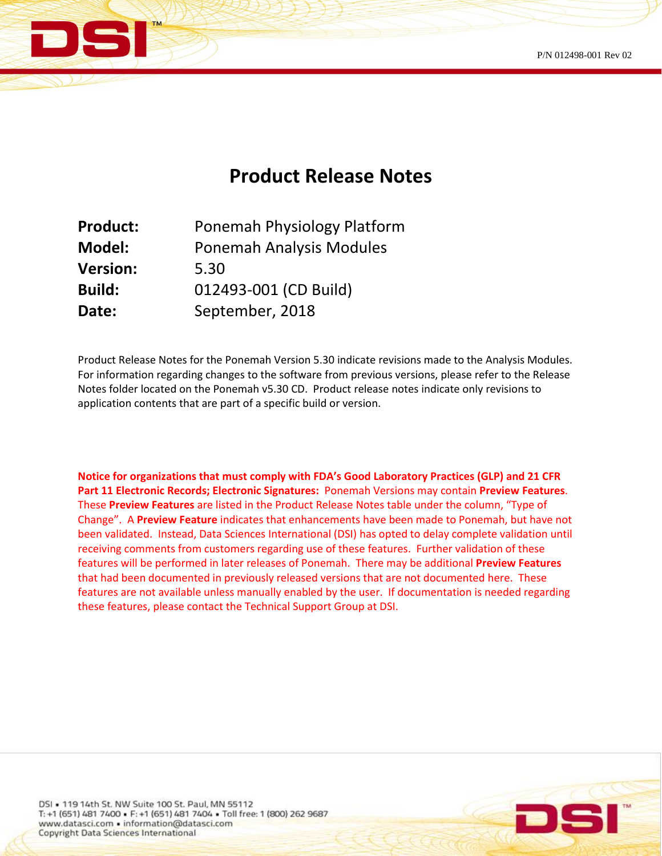P/N 012498-001 Rev 02



## **Product Release Notes**

| <b>Product:</b> | Ponemah Physiology Platform |
|-----------------|-----------------------------|
| <b>Model:</b>   | Ponemah Analysis Modules    |
| <b>Version:</b> | 5.30                        |
| <b>Build:</b>   | 012493-001 (CD Build)       |
| Date:           | September, 2018             |
|                 |                             |

Product Release Notes for the Ponemah Version 5.30 indicate revisions made to the Analysis Modules. For information regarding changes to the software from previous versions, please refer to the Release Notes folder located on the Ponemah v5.30 CD. Product release notes indicate only revisions to application contents that are part of a specific build or version.

**Notice for organizations that must comply with FDA's Good Laboratory Practices (GLP) and 21 CFR Part 11 Electronic Records; Electronic Signatures:** Ponemah Versions may contain **Preview Features**. These **Preview Features** are listed in the Product Release Notes table under the column, "Type of Change". A **Preview Feature** indicates that enhancements have been made to Ponemah, but have not been validated. Instead, Data Sciences International (DSI) has opted to delay complete validation until receiving comments from customers regarding use of these features. Further validation of these features will be performed in later releases of Ponemah. There may be additional **Preview Features** that had been documented in previously released versions that are not documented here. These features are not available unless manually enabled by the user. If documentation is needed regarding these features, please contact the Technical Support Group at DSI.

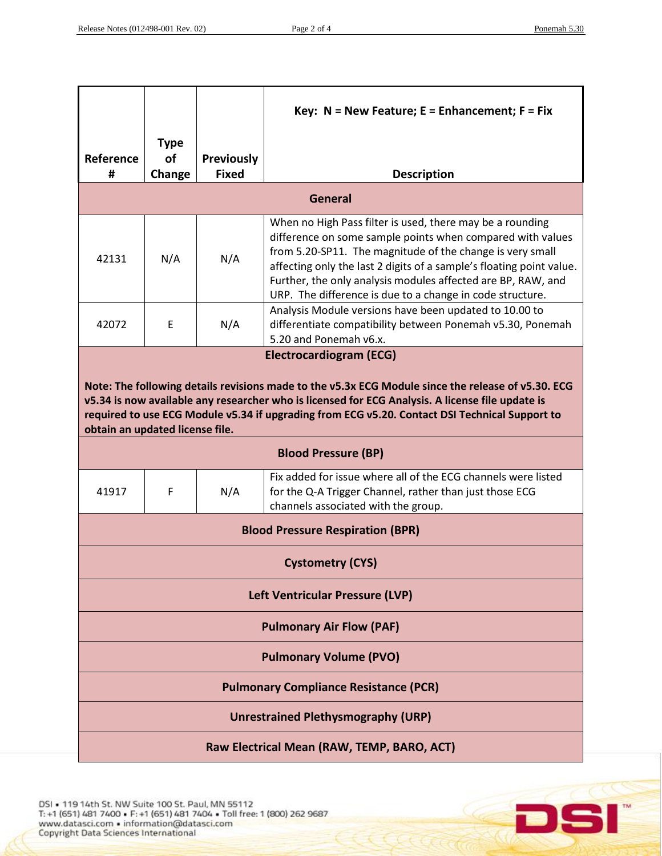|                                                                                                                                                                                                                                                                                                                                             |             |                   | Key: $N = New Feature; E = Enhancement; F = Fix$                                                                                                                                                                                                                                                                                                                                          |  |
|---------------------------------------------------------------------------------------------------------------------------------------------------------------------------------------------------------------------------------------------------------------------------------------------------------------------------------------------|-------------|-------------------|-------------------------------------------------------------------------------------------------------------------------------------------------------------------------------------------------------------------------------------------------------------------------------------------------------------------------------------------------------------------------------------------|--|
|                                                                                                                                                                                                                                                                                                                                             | <b>Type</b> |                   |                                                                                                                                                                                                                                                                                                                                                                                           |  |
| Reference                                                                                                                                                                                                                                                                                                                                   | <b>of</b>   | <b>Previously</b> |                                                                                                                                                                                                                                                                                                                                                                                           |  |
| #                                                                                                                                                                                                                                                                                                                                           | Change      | <b>Fixed</b>      | <b>Description</b>                                                                                                                                                                                                                                                                                                                                                                        |  |
|                                                                                                                                                                                                                                                                                                                                             |             |                   | <b>General</b>                                                                                                                                                                                                                                                                                                                                                                            |  |
| 42131                                                                                                                                                                                                                                                                                                                                       | N/A         | N/A               | When no High Pass filter is used, there may be a rounding<br>difference on some sample points when compared with values<br>from 5.20-SP11. The magnitude of the change is very small<br>affecting only the last 2 digits of a sample's floating point value.<br>Further, the only analysis modules affected are BP, RAW, and<br>URP. The difference is due to a change in code structure. |  |
| 42072                                                                                                                                                                                                                                                                                                                                       | E           | N/A               | Analysis Module versions have been updated to 10.00 to<br>differentiate compatibility between Ponemah v5.30, Ponemah<br>5.20 and Ponemah v6.x.                                                                                                                                                                                                                                            |  |
|                                                                                                                                                                                                                                                                                                                                             |             |                   | <b>Electrocardiogram (ECG)</b>                                                                                                                                                                                                                                                                                                                                                            |  |
| Note: The following details revisions made to the v5.3x ECG Module since the release of v5.30. ECG<br>v5.34 is now available any researcher who is licensed for ECG Analysis. A license file update is<br>required to use ECG Module v5.34 if upgrading from ECG v5.20. Contact DSI Technical Support to<br>obtain an updated license file. |             |                   |                                                                                                                                                                                                                                                                                                                                                                                           |  |
|                                                                                                                                                                                                                                                                                                                                             |             |                   | <b>Blood Pressure (BP)</b>                                                                                                                                                                                                                                                                                                                                                                |  |
| 41917                                                                                                                                                                                                                                                                                                                                       | F           | N/A               | Fix added for issue where all of the ECG channels were listed<br>for the Q-A Trigger Channel, rather than just those ECG<br>channels associated with the group.                                                                                                                                                                                                                           |  |
|                                                                                                                                                                                                                                                                                                                                             |             |                   | <b>Blood Pressure Respiration (BPR)</b>                                                                                                                                                                                                                                                                                                                                                   |  |
| <b>Cystometry (CYS)</b>                                                                                                                                                                                                                                                                                                                     |             |                   |                                                                                                                                                                                                                                                                                                                                                                                           |  |
| Left Ventricular Pressure (LVP)                                                                                                                                                                                                                                                                                                             |             |                   |                                                                                                                                                                                                                                                                                                                                                                                           |  |
| <b>Pulmonary Air Flow (PAF)</b>                                                                                                                                                                                                                                                                                                             |             |                   |                                                                                                                                                                                                                                                                                                                                                                                           |  |
| <b>Pulmonary Volume (PVO)</b>                                                                                                                                                                                                                                                                                                               |             |                   |                                                                                                                                                                                                                                                                                                                                                                                           |  |
| <b>Pulmonary Compliance Resistance (PCR)</b>                                                                                                                                                                                                                                                                                                |             |                   |                                                                                                                                                                                                                                                                                                                                                                                           |  |
| <b>Unrestrained Plethysmography (URP)</b>                                                                                                                                                                                                                                                                                                   |             |                   |                                                                                                                                                                                                                                                                                                                                                                                           |  |
| Raw Electrical Mean (RAW, TEMP, BARO, ACT)                                                                                                                                                                                                                                                                                                  |             |                   |                                                                                                                                                                                                                                                                                                                                                                                           |  |

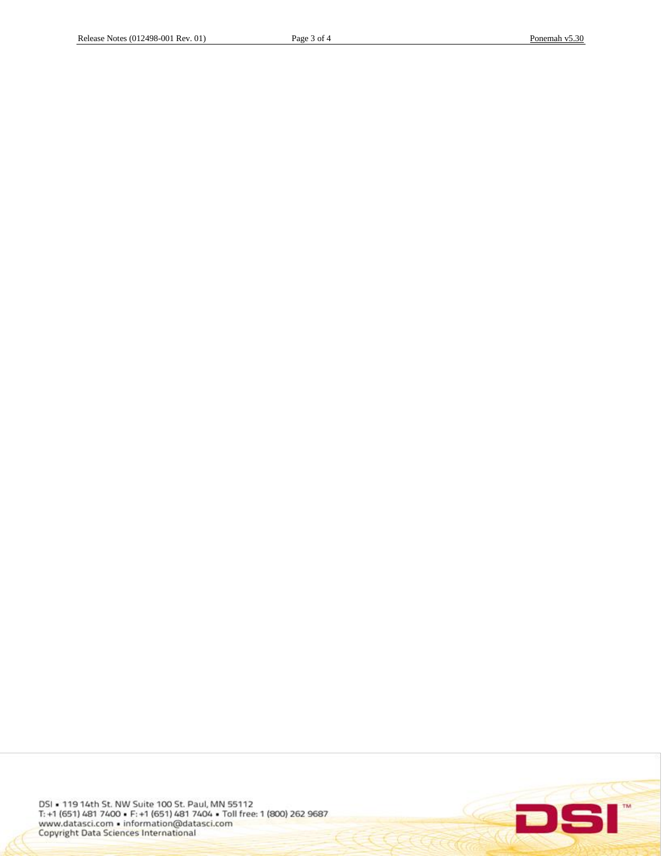DSI = 119 14th St. NW Suite 100 St. Paul, MN 55112<br>T: +1 (651) 481 7400 = F: +1 (651) 481 7404 = Toll free: 1 (800) 262 9687<br>www.datasci.com = information@datasci.com<br>Copyright Data Sciences International